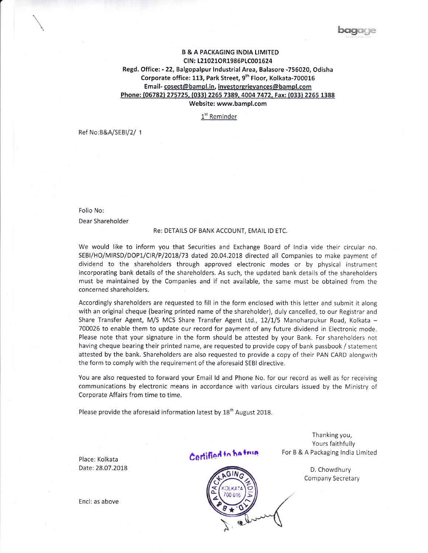## B & A PACKAGING INDIA LIMITED CIN: L21021OR1986PLC001624 Regd. Office: - 22, Balgopalpur Industrial Area, Balasore -756020, Odisha Corporate office: 113, Park Street, 9<sup>th</sup> Floor, Kolkata-700016 Email-cosect@bampl.in, investorgrievances@bampl.com Phone: (06782) 275725, (033) 2265 7389, 4004 7472, Fax: (033) 2265 1388 Website: www.bampl.com

1<sup>st</sup> Reminder

Ref No:B&A/SEBI/2/ 1

Folio No: Dear Shareholder

## Re: DETAILS OF BANK ACCOUNT, EMAIL lD ETC.

We would like to inform you that Securities and Exchange Board of lndia vide their circular no. SEBI/HO/MIRSD/DOP1/CIR/P/2018/73 dated 20.04.2018 directed all Companies to make payment of dividend to the shareholders through approved electronic modes or by physical instrument incorporating bank details of the shareholders, As such, the updated bank details of the shareholders must be maintained by the Companies and if not available, the same must be obtained from the concerned shareholders.

Accordingly shareholders are requested to fill in the form enclosed with this letter and submit it along with an original cheque (bearing printed name of the shareholder), duly cancelled, to our Registrar and Share Transfer Agent, M/S MCS Share Transfer Agent Ltd., 12/1/5 Manoharpukur Road, Kolkata -700026 to enable them to update our record for payment of any future dividend in Electronic mode. Please note that your signature in the form should be attested by your Bank. For shareholders not having cheque bearing their printed name, are requested to provide copy of bank passbook / statement attested by the bank. Shareholders are also requested to provide a copy of their PAN CARD alongwith the form to comply with the requirement of the aforesaid SEBI directive.

You are also requested to forward your Email ld and Phone No. for our record as well as for receiving communications by electronic means in accordance with various circulars issued by the Ministry of Corporate Affairs from time to time.

Please provide the aforesaid information latest by  $18<sup>th</sup>$  August 2018.

Place: Kolkata Date:28.07.2018 Certified to ha frun

 $\langle 2 \rangle$  $\widetilde{\Xi}$  $\overline{\triangleright}$ i)

Thanking you, Yours faithfully For B & A Packaging India Limited

> D, Chowdhury Company Secretary

Encl; as above